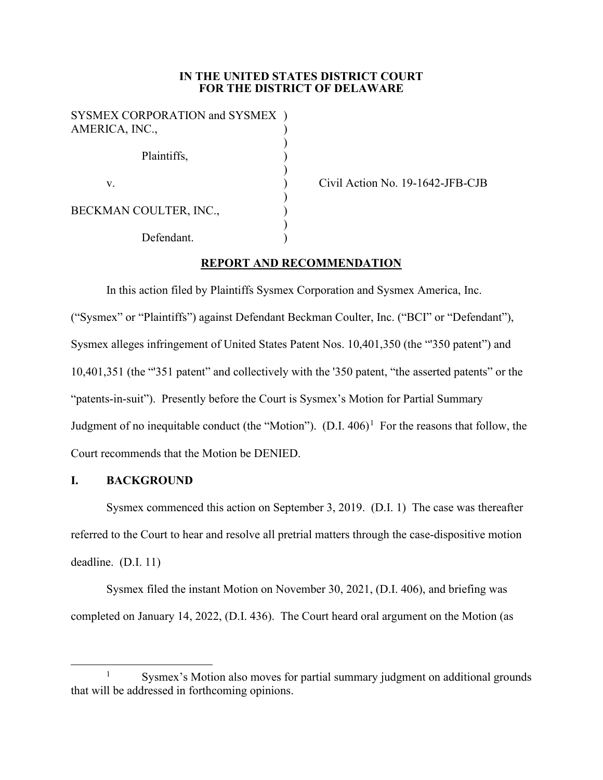## **IN THE UNITED STATES DISTRICT COURT FOR THE DISTRICT OF DELAWARE**

SYSMEX CORPORATION and SYSMEX ) AMERICA, INC., ) Plaintiffs, ) ) v. (a) Civil Action No. 19-1642-JFB-CJB ) BECKMAN COULTER, INC., ) Defendant.

# **REPORT AND RECOMMENDATION**

In this action filed by Plaintiffs Sysmex Corporation and Sysmex America, Inc. ("Sysmex" or "Plaintiffs") against Defendant Beckman Coulter, Inc. ("BCI" or "Defendant"), Sysmex alleges infringement of United States Patent Nos. 10,401,350 (the "'350 patent") and 10,401,351 (the "'351 patent" and collectively with the '350 patent, "the asserted patents" or the "patents-in-suit"). Presently before the Court is Sysmex's Motion for Partial Summary Judgment of no inequitable conduct (the "Motion").  $(D.I. 406)^1$  For the reasons that follow, the Court recommends that the Motion be DENIED.

## **I. BACKGROUND**

Sysmex commenced this action on September 3, 2019. (D.I. 1) The case was thereafter referred to the Court to hear and resolve all pretrial matters through the case-dispositive motion deadline. (D.I. 11)

Sysmex filed the instant Motion on November 30, 2021, (D.I. 406), and briefing was completed on January 14, 2022, (D.I. 436). The Court heard oral argument on the Motion (as

<sup>&</sup>lt;sup>1</sup> Sysmex's Motion also moves for partial summary judgment on additional grounds that will be addressed in forthcoming opinions.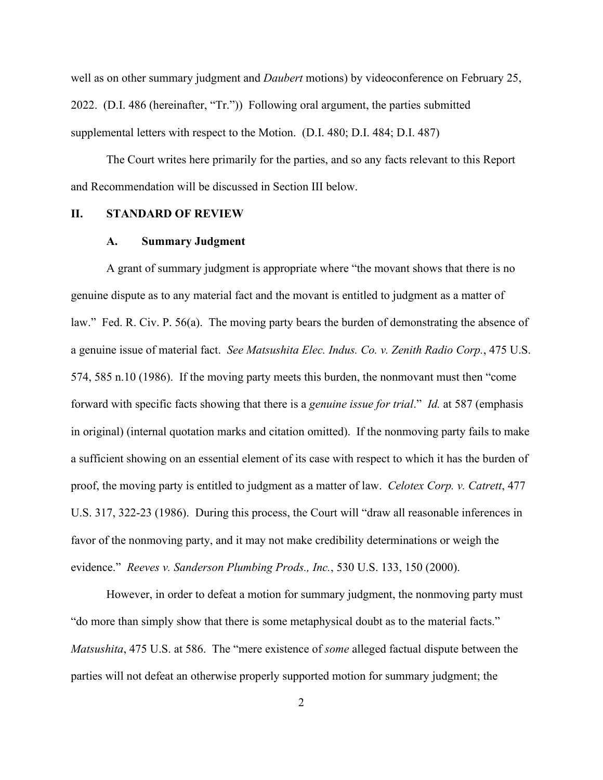well as on other summary judgment and *Daubert* motions) by videoconference on February 25, 2022. (D.I. 486 (hereinafter, "Tr.")) Following oral argument, the parties submitted supplemental letters with respect to the Motion. (D.I. 480; D.I. 484; D.I. 487)

The Court writes here primarily for the parties, and so any facts relevant to this Report and Recommendation will be discussed in Section III below.

#### **II. STANDARD OF REVIEW**

#### **A. Summary Judgment**

A grant of summary judgment is appropriate where "the movant shows that there is no genuine dispute as to any material fact and the movant is entitled to judgment as a matter of law." Fed. R. Civ. P. 56(a). The moving party bears the burden of demonstrating the absence of a genuine issue of material fact. *See Matsushita Elec. Indus. Co. v. Zenith Radio Corp.*, 475 U.S. 574, 585 n.10 (1986). If the moving party meets this burden, the nonmovant must then "come forward with specific facts showing that there is a *genuine issue for trial*." *Id.* at 587 (emphasis in original) (internal quotation marks and citation omitted). If the nonmoving party fails to make a sufficient showing on an essential element of its case with respect to which it has the burden of proof, the moving party is entitled to judgment as a matter of law. *Celotex Corp. v. Catrett*, 477 U.S. 317, 322-23 (1986). During this process, the Court will "draw all reasonable inferences in favor of the nonmoving party, and it may not make credibility determinations or weigh the evidence." *Reeves v. Sanderson Plumbing Prods., Inc.*, 530 U.S. 133, 150 (2000).

However, in order to defeat a motion for summary judgment, the nonmoving party must "do more than simply show that there is some metaphysical doubt as to the material facts." *Matsushita*, 475 U.S. at 586. The "mere existence of *some* alleged factual dispute between the parties will not defeat an otherwise properly supported motion for summary judgment; the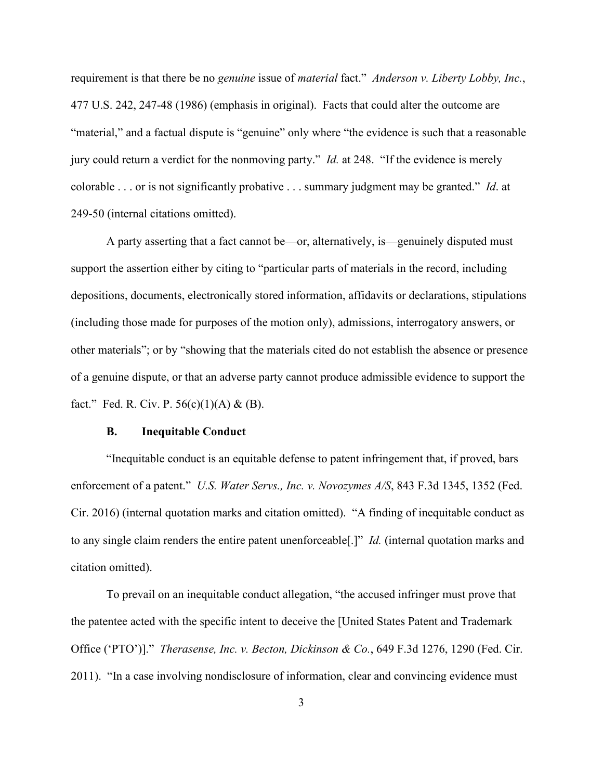requirement is that there be no *genuine* issue of *material* fact." *Anderson v. Liberty Lobby, Inc.*, 477 U.S. 242, 247-48 (1986) (emphasis in original). Facts that could alter the outcome are "material," and a factual dispute is "genuine" only where "the evidence is such that a reasonable jury could return a verdict for the nonmoving party." *Id.* at 248. "If the evidence is merely colorable . . . or is not significantly probative . . . summary judgment may be granted." *Id*. at 249-50 (internal citations omitted).

A party asserting that a fact cannot be—or, alternatively, is—genuinely disputed must support the assertion either by citing to "particular parts of materials in the record, including depositions, documents, electronically stored information, affidavits or declarations, stipulations (including those made for purposes of the motion only), admissions, interrogatory answers, or other materials"; or by "showing that the materials cited do not establish the absence or presence of a genuine dispute, or that an adverse party cannot produce admissible evidence to support the fact." Fed. R. Civ. P.  $56(c)(1)(A) & (B)$ .

#### **B. Inequitable Conduct**

"Inequitable conduct is an equitable defense to patent infringement that, if proved, bars enforcement of a patent." *U.S. Water Servs., Inc. v. Novozymes A/S*, 843 F.3d 1345, 1352 (Fed. Cir. 2016) (internal quotation marks and citation omitted). "A finding of inequitable conduct as to any single claim renders the entire patent unenforceable[.]" *Id.* (internal quotation marks and citation omitted).

To prevail on an inequitable conduct allegation, "the accused infringer must prove that the patentee acted with the specific intent to deceive the [United States Patent and Trademark Office ('PTO')]." *Therasense, Inc. v. Becton, Dickinson & Co.*, 649 F.3d 1276, 1290 (Fed. Cir. 2011). "In a case involving nondisclosure of information, clear and convincing evidence must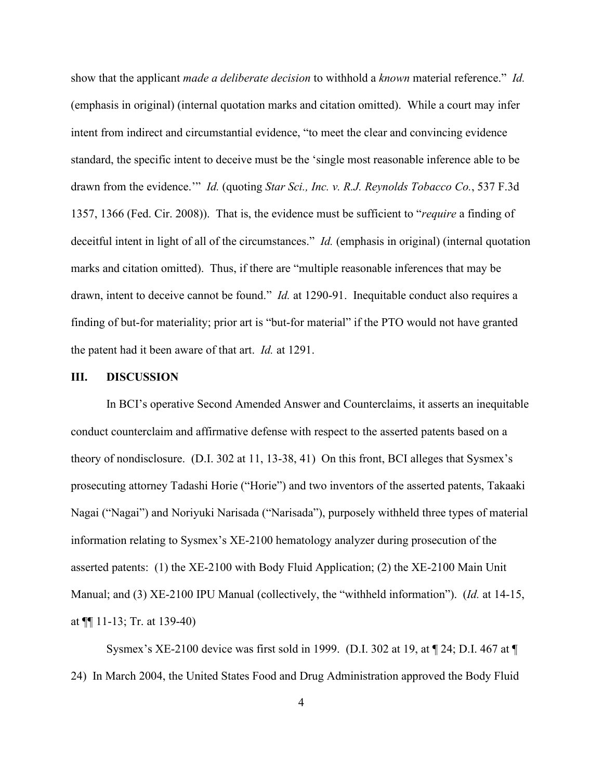show that the applicant *made a deliberate decision* to withhold a *known* material reference." *Id.* (emphasis in original) (internal quotation marks and citation omitted). While a court may infer intent from indirect and circumstantial evidence, "to meet the clear and convincing evidence standard, the specific intent to deceive must be the 'single most reasonable inference able to be drawn from the evidence.'" *Id.* (quoting *Star Sci., Inc. v. R.J. Reynolds Tobacco Co.*, 537 F.3d 1357, 1366 (Fed. Cir. 2008)). That is, the evidence must be sufficient to "*require* a finding of deceitful intent in light of all of the circumstances." *Id.* (emphasis in original) (internal quotation marks and citation omitted). Thus, if there are "multiple reasonable inferences that may be drawn, intent to deceive cannot be found." *Id.* at 1290-91. Inequitable conduct also requires a finding of but-for materiality; prior art is "but-for material" if the PTO would not have granted the patent had it been aware of that art. *Id.* at 1291.

#### **III. DISCUSSION**

In BCI's operative Second Amended Answer and Counterclaims, it asserts an inequitable conduct counterclaim and affirmative defense with respect to the asserted patents based on a theory of nondisclosure. (D.I. 302 at 11, 13-38, 41) On this front, BCI alleges that Sysmex's prosecuting attorney Tadashi Horie ("Horie") and two inventors of the asserted patents, Takaaki Nagai ("Nagai") and Noriyuki Narisada ("Narisada"), purposely withheld three types of material information relating to Sysmex's XE-2100 hematology analyzer during prosecution of the asserted patents: (1) the XE-2100 with Body Fluid Application; (2) the XE-2100 Main Unit Manual; and (3) XE-2100 IPU Manual (collectively, the "withheld information"). (*Id.* at 14-15, at ¶¶ 11-13; Tr. at 139-40)

Sysmex's XE-2100 device was first sold in 1999. (D.I. 302 at 19, at ¶ 24; D.I. 467 at ¶ 24) In March 2004, the United States Food and Drug Administration approved the Body Fluid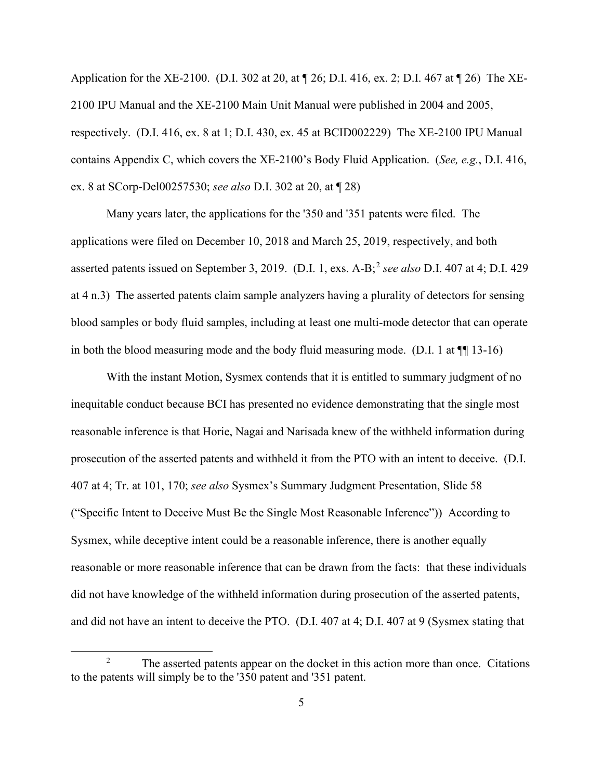Application for the XE-2100. (D.I. 302 at 20, at ¶ 26; D.I. 416, ex. 2; D.I. 467 at ¶ 26) The XE-2100 IPU Manual and the XE-2100 Main Unit Manual were published in 2004 and 2005, respectively. (D.I. 416, ex. 8 at 1; D.I. 430, ex. 45 at BCID002229) The XE-2100 IPU Manual contains Appendix C, which covers the XE-2100's Body Fluid Application. (*See, e.g.*, D.I. 416, ex. 8 at SCorp-Del00257530; *see also* D.I. 302 at 20, at ¶ 28)

Many years later, the applications for the '350 and '351 patents were filed. The applications were filed on December 10, 2018 and March 25, 2019, respectively, and both asserted patents issued on September 3, 2019. (D.I. 1, exs. A-B; <sup>2</sup> *see also* D.I. 407 at 4; D.I. 429 at 4 n.3) The asserted patents claim sample analyzers having a plurality of detectors for sensing blood samples or body fluid samples, including at least one multi-mode detector that can operate in both the blood measuring mode and the body fluid measuring mode. (D.I. 1 at  $\P$  13-16)

With the instant Motion, Sysmex contends that it is entitled to summary judgment of no inequitable conduct because BCI has presented no evidence demonstrating that the single most reasonable inference is that Horie, Nagai and Narisada knew of the withheld information during prosecution of the asserted patents and withheld it from the PTO with an intent to deceive. (D.I. 407 at 4; Tr. at 101, 170; *see also* Sysmex's Summary Judgment Presentation, Slide 58 ("Specific Intent to Deceive Must Be the Single Most Reasonable Inference")) According to Sysmex, while deceptive intent could be a reasonable inference, there is another equally reasonable or more reasonable inference that can be drawn from the facts: that these individuals did not have knowledge of the withheld information during prosecution of the asserted patents, and did not have an intent to deceive the PTO. (D.I. 407 at 4; D.I. 407 at 9 (Sysmex stating that

<sup>&</sup>lt;sup>2</sup> The asserted patents appear on the docket in this action more than once. Citations to the patents will simply be to the '350 patent and '351 patent.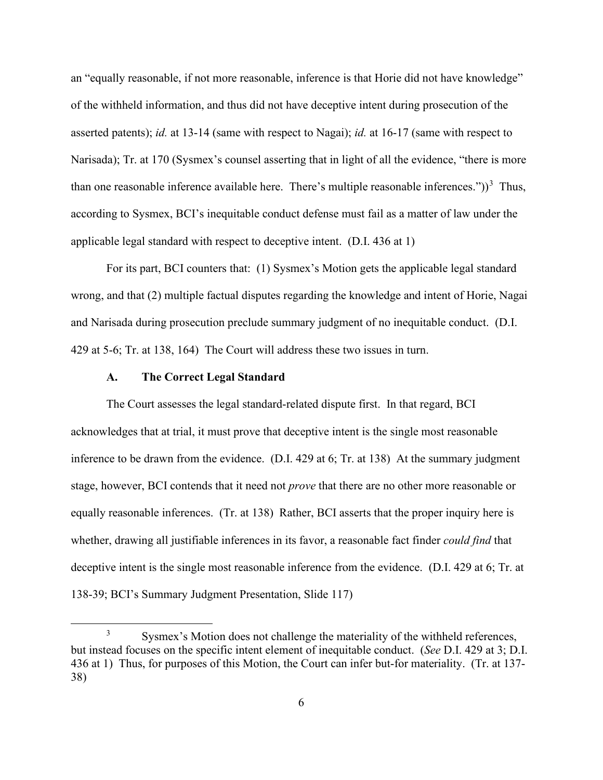an "equally reasonable, if not more reasonable, inference is that Horie did not have knowledge" of the withheld information, and thus did not have deceptive intent during prosecution of the asserted patents); *id.* at 13-14 (same with respect to Nagai); *id.* at 16-17 (same with respect to Narisada); Tr. at 170 (Sysmex's counsel asserting that in light of all the evidence, "there is more than one reasonable inference available here. There's multiple reasonable inferences."))<sup>3</sup> Thus, according to Sysmex, BCI's inequitable conduct defense must fail as a matter of law under the applicable legal standard with respect to deceptive intent. (D.I. 436 at 1)

For its part, BCI counters that: (1) Sysmex's Motion gets the applicable legal standard wrong, and that (2) multiple factual disputes regarding the knowledge and intent of Horie, Nagai and Narisada during prosecution preclude summary judgment of no inequitable conduct. (D.I. 429 at 5-6; Tr. at 138, 164) The Court will address these two issues in turn.

### **A. The Correct Legal Standard**

The Court assesses the legal standard-related dispute first. In that regard, BCI acknowledges that at trial, it must prove that deceptive intent is the single most reasonable inference to be drawn from the evidence. (D.I. 429 at 6; Tr. at 138) At the summary judgment stage, however, BCI contends that it need not *prove* that there are no other more reasonable or equally reasonable inferences. (Tr. at 138) Rather, BCI asserts that the proper inquiry here is whether, drawing all justifiable inferences in its favor, a reasonable fact finder *could find* that deceptive intent is the single most reasonable inference from the evidence. (D.I. 429 at 6; Tr. at 138-39; BCI's Summary Judgment Presentation, Slide 117)

<sup>&</sup>lt;sup>3</sup> Sysmex's Motion does not challenge the materiality of the withheld references, but instead focuses on the specific intent element of inequitable conduct. (*See* D.I. 429 at 3; D.I. 436 at 1) Thus, for purposes of this Motion, the Court can infer but-for materiality. (Tr. at 137- 38)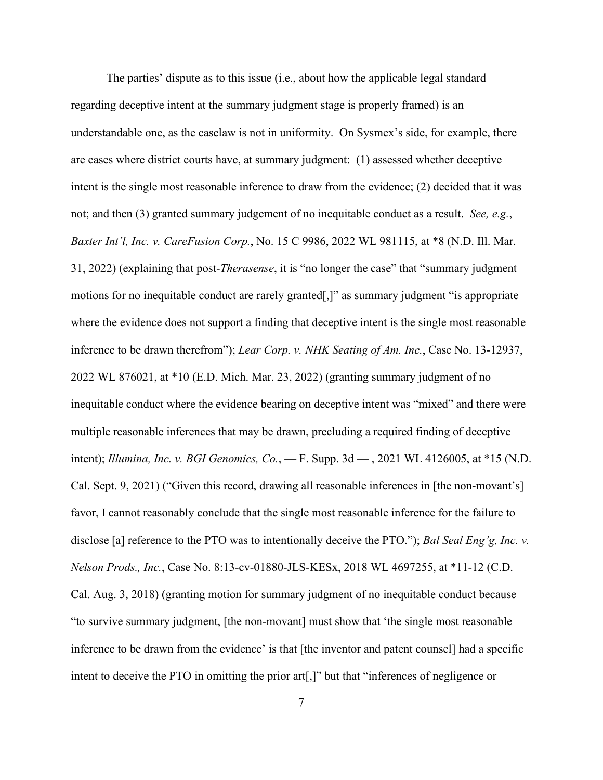The parties' dispute as to this issue (i.e., about how the applicable legal standard regarding deceptive intent at the summary judgment stage is properly framed) is an understandable one, as the caselaw is not in uniformity. On Sysmex's side, for example, there are cases where district courts have, at summary judgment: (1) assessed whether deceptive intent is the single most reasonable inference to draw from the evidence; (2) decided that it was not; and then (3) granted summary judgement of no inequitable conduct as a result. *See, e.g.*, *Baxter Int'l, Inc. v. CareFusion Corp.*, No. 15 C 9986, 2022 WL 981115, at \*8 (N.D. Ill. Mar. 31, 2022) (explaining that post-*Therasense*, it is "no longer the case" that "summary judgment motions for no inequitable conduct are rarely granted[,]" as summary judgment "is appropriate where the evidence does not support a finding that deceptive intent is the single most reasonable inference to be drawn therefrom"); *Lear Corp. v. NHK Seating of Am. Inc.*, Case No. 13-12937, 2022 WL 876021, at \*10 (E.D. Mich. Mar. 23, 2022) (granting summary judgment of no inequitable conduct where the evidence bearing on deceptive intent was "mixed" and there were multiple reasonable inferences that may be drawn, precluding a required finding of deceptive intent); *Illumina, Inc. v. BGI Genomics, Co.*, — F. Supp. 3d — , 2021 WL 4126005, at \*15 (N.D. Cal. Sept. 9, 2021) ("Given this record, drawing all reasonable inferences in [the non-movant's] favor, I cannot reasonably conclude that the single most reasonable inference for the failure to disclose [a] reference to the PTO was to intentionally deceive the PTO."); *Bal Seal Eng'g, Inc. v. Nelson Prods., Inc.*, Case No. 8:13-cv-01880-JLS-KESx, 2018 WL 4697255, at \*11-12 (C.D. Cal. Aug. 3, 2018) (granting motion for summary judgment of no inequitable conduct because "to survive summary judgment, [the non-movant] must show that 'the single most reasonable inference to be drawn from the evidence' is that [the inventor and patent counsel] had a specific intent to deceive the PTO in omitting the prior art[,]" but that "inferences of negligence or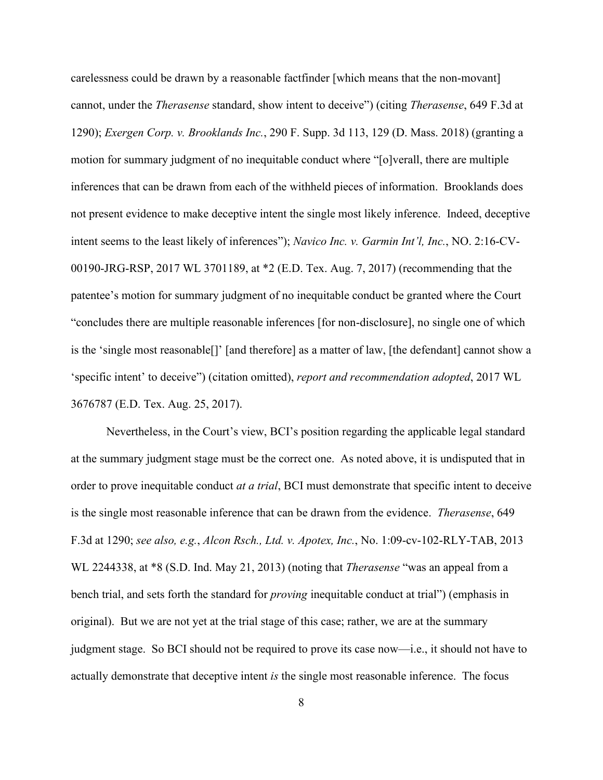carelessness could be drawn by a reasonable factfinder [which means that the non-movant] cannot, under the *Therasense* standard, show intent to deceive") (citing *Therasense*, 649 F.3d at 1290); *Exergen Corp. v. Brooklands Inc.*, 290 F. Supp. 3d 113, 129 (D. Mass. 2018) (granting a motion for summary judgment of no inequitable conduct where "[o]verall, there are multiple inferences that can be drawn from each of the withheld pieces of information. Brooklands does not present evidence to make deceptive intent the single most likely inference. Indeed, deceptive intent seems to the least likely of inferences"); *Navico Inc. v. Garmin Int'l, Inc.*, NO. 2:16-CV-00190-JRG-RSP, 2017 WL 3701189, at \*2 (E.D. Tex. Aug. 7, 2017) (recommending that the patentee's motion for summary judgment of no inequitable conduct be granted where the Court "concludes there are multiple reasonable inferences [for non-disclosure], no single one of which is the 'single most reasonable[]' [and therefore] as a matter of law, [the defendant] cannot show a 'specific intent' to deceive") (citation omitted), *report and recommendation adopted*, 2017 WL 3676787 (E.D. Tex. Aug. 25, 2017).

Nevertheless, in the Court's view, BCI's position regarding the applicable legal standard at the summary judgment stage must be the correct one. As noted above, it is undisputed that in order to prove inequitable conduct *at a trial*, BCI must demonstrate that specific intent to deceive is the single most reasonable inference that can be drawn from the evidence. *Therasense*, 649 F.3d at 1290; *see also, e.g.*, *Alcon Rsch., Ltd. v. Apotex, Inc.*, No. 1:09-cv-102-RLY-TAB, 2013 WL 2244338, at \*8 (S.D. Ind. May 21, 2013) (noting that *Therasense* "was an appeal from a bench trial, and sets forth the standard for *proving* inequitable conduct at trial") (emphasis in original). But we are not yet at the trial stage of this case; rather, we are at the summary judgment stage. So BCI should not be required to prove its case now—i.e., it should not have to actually demonstrate that deceptive intent *is* the single most reasonable inference. The focus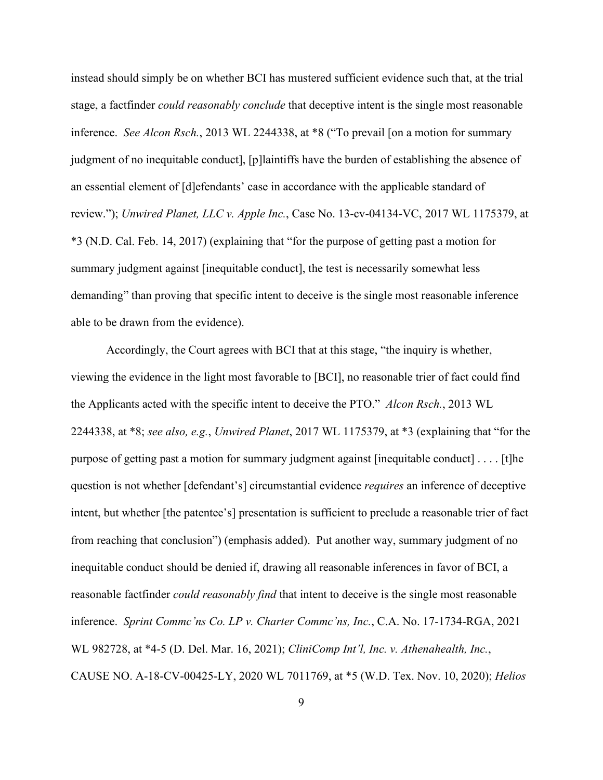instead should simply be on whether BCI has mustered sufficient evidence such that, at the trial stage, a factfinder *could reasonably conclude* that deceptive intent is the single most reasonable inference. *See Alcon Rsch.*, 2013 WL 2244338, at \*8 ("To prevail [on a motion for summary judgment of no inequitable conduct], [p]laintiffs have the burden of establishing the absence of an essential element of [d]efendants' case in accordance with the applicable standard of review."); *Unwired Planet, LLC v. Apple Inc.*, Case No. 13-cv-04134-VC, 2017 WL 1175379, at \*3 (N.D. Cal. Feb. 14, 2017) (explaining that "for the purpose of getting past a motion for summary judgment against [inequitable conduct], the test is necessarily somewhat less demanding" than proving that specific intent to deceive is the single most reasonable inference able to be drawn from the evidence).

Accordingly, the Court agrees with BCI that at this stage, "the inquiry is whether, viewing the evidence in the light most favorable to [BCI], no reasonable trier of fact could find the Applicants acted with the specific intent to deceive the PTO." *Alcon Rsch.*, 2013 WL 2244338, at \*8; *see also, e.g.*, *Unwired Planet*, 2017 WL 1175379, at \*3 (explaining that "for the purpose of getting past a motion for summary judgment against [inequitable conduct] . . . . [t]he question is not whether [defendant's] circumstantial evidence *requires* an inference of deceptive intent, but whether [the patentee's] presentation is sufficient to preclude a reasonable trier of fact from reaching that conclusion") (emphasis added). Put another way, summary judgment of no inequitable conduct should be denied if, drawing all reasonable inferences in favor of BCI, a reasonable factfinder *could reasonably find* that intent to deceive is the single most reasonable inference. *Sprint Commc'ns Co. LP v. Charter Commc'ns, Inc.*, C.A. No. 17-1734-RGA, 2021 WL 982728, at \*4-5 (D. Del. Mar. 16, 2021); *CliniComp Int'l, Inc. v. Athenahealth, Inc.*, CAUSE NO. A-18-CV-00425-LY, 2020 WL 7011769, at \*5 (W.D. Tex. Nov. 10, 2020); *Helios*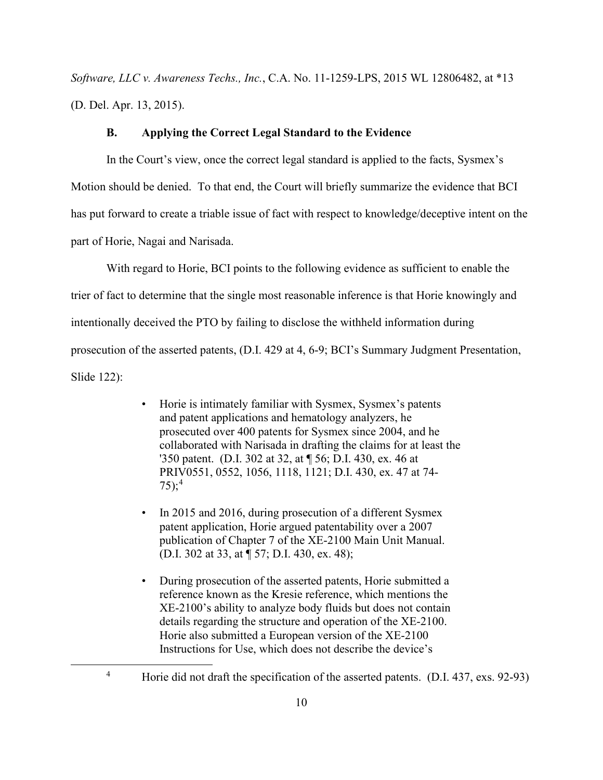*Software, LLC v. Awareness Techs., Inc.*, C.A. No. 11-1259-LPS, 2015 WL 12806482, at \*13 (D. Del. Apr. 13, 2015).

## **B. Applying the Correct Legal Standard to the Evidence**

In the Court's view, once the correct legal standard is applied to the facts, Sysmex's Motion should be denied. To that end, the Court will briefly summarize the evidence that BCI has put forward to create a triable issue of fact with respect to knowledge/deceptive intent on the part of Horie, Nagai and Narisada.

With regard to Horie, BCI points to the following evidence as sufficient to enable the trier of fact to determine that the single most reasonable inference is that Horie knowingly and intentionally deceived the PTO by failing to disclose the withheld information during prosecution of the asserted patents, (D.I. 429 at 4, 6-9; BCI's Summary Judgment Presentation, Slide 122):

- Horie is intimately familiar with Sysmex, Sysmex's patents and patent applications and hematology analyzers, he prosecuted over 400 patents for Sysmex since 2004, and he collaborated with Narisada in drafting the claims for at least the '350 patent. (D.I. 302 at 32, at ¶ 56; D.I. 430, ex. 46 at PRIV0551, 0552, 1056, 1118, 1121; D.I. 430, ex. 47 at 74- 75); 4
- In 2015 and 2016, during prosecution of a different Sysmex patent application, Horie argued patentability over a 2007 publication of Chapter 7 of the XE-2100 Main Unit Manual. (D.I. 302 at 33, at ¶ 57; D.I. 430, ex. 48);
- During prosecution of the asserted patents, Horie submitted a reference known as the Kresie reference, which mentions the XE-2100's ability to analyze body fluids but does not contain details regarding the structure and operation of the XE-2100. Horie also submitted a European version of the XE-2100 Instructions for Use, which does not describe the device's

<sup>&</sup>lt;sup>4</sup> Horie did not draft the specification of the asserted patents. (D.I. 437, exs. 92-93)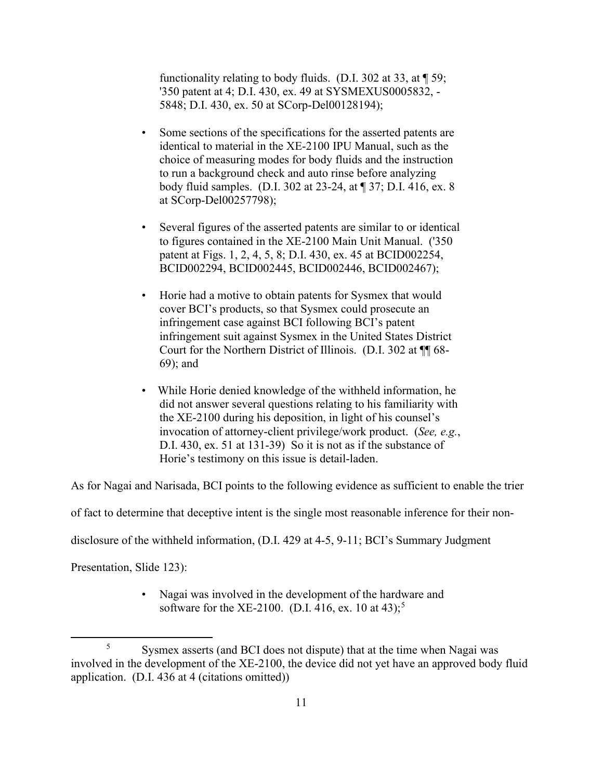functionality relating to body fluids. (D.I. 302 at 33, at  $\P$  59; '350 patent at 4; D.I. 430, ex. 49 at SYSMEXUS0005832, - 5848; D.I. 430, ex. 50 at SCorp-Del00128194);

- Some sections of the specifications for the asserted patents are identical to material in the XE-2100 IPU Manual, such as the choice of measuring modes for body fluids and the instruction to run a background check and auto rinse before analyzing body fluid samples. (D.I. 302 at 23-24, at ¶ 37; D.I. 416, ex. 8 at SCorp-Del00257798);
- Several figures of the asserted patents are similar to or identical to figures contained in the XE-2100 Main Unit Manual. ('350 patent at Figs. 1, 2, 4, 5, 8; D.I. 430, ex. 45 at BCID002254, BCID002294, BCID002445, BCID002446, BCID002467);
- Horie had a motive to obtain patents for Sysmex that would cover BCI's products, so that Sysmex could prosecute an infringement case against BCI following BCI's patent infringement suit against Sysmex in the United States District Court for the Northern District of Illinois. (D.I. 302 at ¶¶ 68- 69); and
- While Horie denied knowledge of the withheld information, he did not answer several questions relating to his familiarity with the XE-2100 during his deposition, in light of his counsel's invocation of attorney-client privilege/work product. (*See, e.g.*, D.I. 430, ex. 51 at 131-39) So it is not as if the substance of Horie's testimony on this issue is detail-laden.

As for Nagai and Narisada, BCI points to the following evidence as sufficient to enable the trier

of fact to determine that deceptive intent is the single most reasonable inference for their non-

disclosure of the withheld information, (D.I. 429 at 4-5, 9-11; BCI's Summary Judgment

Presentation, Slide 123):

• Nagai was involved in the development of the hardware and software for the XE-2100. (D.I. 416, ex. 10 at 43);<sup>5</sup>

<sup>5</sup> Sysmex asserts (and BCI does not dispute) that at the time when Nagai was involved in the development of the XE-2100, the device did not yet have an approved body fluid application. (D.I. 436 at 4 (citations omitted))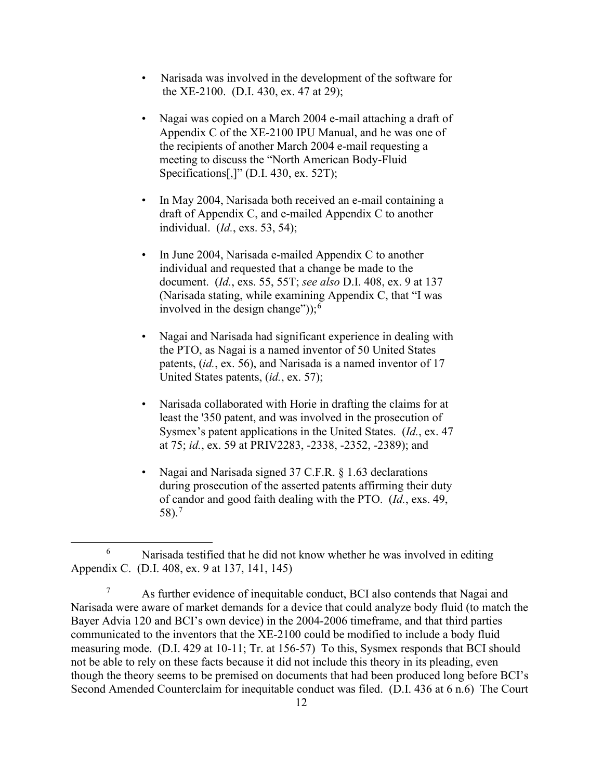- Narisada was involved in the development of the software for the XE-2100. (D.I. 430, ex. 47 at 29);
- Nagai was copied on a March 2004 e-mail attaching a draft of Appendix C of the XE-2100 IPU Manual, and he was one of the recipients of another March 2004 e-mail requesting a meeting to discuss the "North American Body-Fluid Specifications[,]" (D.I. 430, ex. 52T);
- In May 2004, Narisada both received an e-mail containing a draft of Appendix C, and e-mailed Appendix C to another individual. (*Id.*, exs. 53, 54);
- In June 2004, Narisada e-mailed Appendix C to another individual and requested that a change be made to the document. (*Id.*, exs. 55, 55T; *see also* D.I. 408, ex. 9 at 137 (Narisada stating, while examining Appendix C, that "I was involved in the design change"));<sup>6</sup>
- Nagai and Narisada had significant experience in dealing with the PTO, as Nagai is a named inventor of 50 United States patents, (*id.*, ex. 56), and Narisada is a named inventor of 17 United States patents, (*id.*, ex. 57);
- Narisada collaborated with Horie in drafting the claims for at least the '350 patent, and was involved in the prosecution of Sysmex's patent applications in the United States. (*Id.*, ex. 47 at 75; *id.*, ex. 59 at PRIV2283, -2338, -2352, -2389); and
- Nagai and Narisada signed 37 C.F.R. § 1.63 declarations during prosecution of the asserted patents affirming their duty of candor and good faith dealing with the PTO. (*Id.*, exs. 49, 58). 7

<sup>6</sup> Narisada testified that he did not know whether he was involved in editing Appendix C. (D.I. 408, ex. 9 at 137, 141, 145)

<sup>&</sup>lt;sup>7</sup> As further evidence of inequitable conduct, BCI also contends that Nagai and Narisada were aware of market demands for a device that could analyze body fluid (to match the Bayer Advia 120 and BCI's own device) in the 2004-2006 timeframe, and that third parties communicated to the inventors that the XE-2100 could be modified to include a body fluid measuring mode. (D.I. 429 at 10-11; Tr. at 156-57) To this, Sysmex responds that BCI should not be able to rely on these facts because it did not include this theory in its pleading, even though the theory seems to be premised on documents that had been produced long before BCI's Second Amended Counterclaim for inequitable conduct was filed. (D.I. 436 at 6 n.6) The Court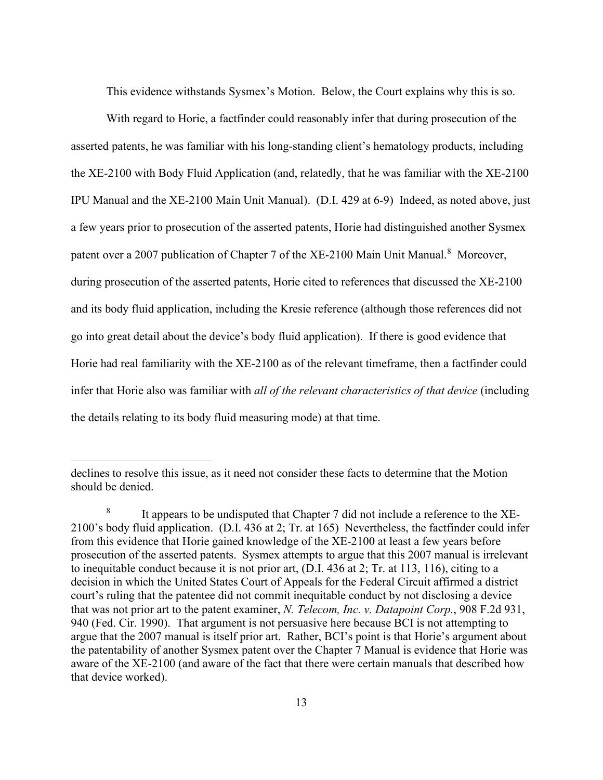This evidence withstands Sysmex's Motion. Below, the Court explains why this is so.

With regard to Horie, a factfinder could reasonably infer that during prosecution of the asserted patents, he was familiar with his long-standing client's hematology products, including the XE-2100 with Body Fluid Application (and, relatedly, that he was familiar with the XE-2100 IPU Manual and the XE-2100 Main Unit Manual). (D.I. 429 at 6-9) Indeed, as noted above, just a few years prior to prosecution of the asserted patents, Horie had distinguished another Sysmex patent over a 2007 publication of Chapter 7 of the XE-2100 Main Unit Manual.<sup>8</sup> Moreover, during prosecution of the asserted patents, Horie cited to references that discussed the XE-2100 and its body fluid application, including the Kresie reference (although those references did not go into great detail about the device's body fluid application). If there is good evidence that Horie had real familiarity with the XE-2100 as of the relevant timeframe, then a factfinder could infer that Horie also was familiar with *all of the relevant characteristics of that device* (including the details relating to its body fluid measuring mode) at that time.

declines to resolve this issue, as it need not consider these facts to determine that the Motion should be denied.

<sup>&</sup>lt;sup>8</sup> It appears to be undisputed that Chapter 7 did not include a reference to the XE-2100's body fluid application. (D.I. 436 at 2; Tr. at 165) Nevertheless, the factfinder could infer from this evidence that Horie gained knowledge of the XE-2100 at least a few years before prosecution of the asserted patents. Sysmex attempts to argue that this 2007 manual is irrelevant to inequitable conduct because it is not prior art, (D.I. 436 at 2; Tr. at 113, 116), citing to a decision in which the United States Court of Appeals for the Federal Circuit affirmed a district court's ruling that the patentee did not commit inequitable conduct by not disclosing a device that was not prior art to the patent examiner, *N. Telecom, Inc. v. Datapoint Corp.*, 908 F.2d 931, 940 (Fed. Cir. 1990). That argument is not persuasive here because BCI is not attempting to argue that the 2007 manual is itself prior art. Rather, BCI's point is that Horie's argument about the patentability of another Sysmex patent over the Chapter 7 Manual is evidence that Horie was aware of the XE-2100 (and aware of the fact that there were certain manuals that described how that device worked).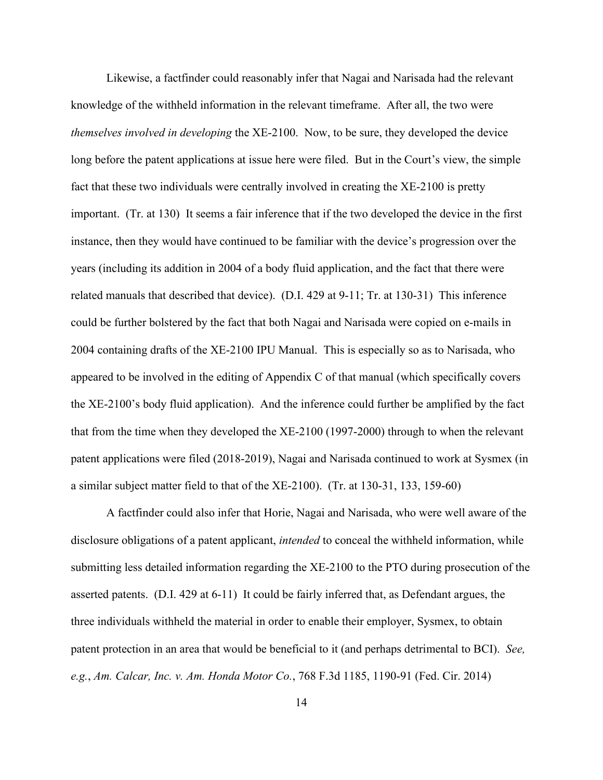Likewise, a factfinder could reasonably infer that Nagai and Narisada had the relevant knowledge of the withheld information in the relevant timeframe. After all, the two were *themselves involved in developing* the XE-2100. Now, to be sure, they developed the device long before the patent applications at issue here were filed. But in the Court's view, the simple fact that these two individuals were centrally involved in creating the XE-2100 is pretty important. (Tr. at 130) It seems a fair inference that if the two developed the device in the first instance, then they would have continued to be familiar with the device's progression over the years (including its addition in 2004 of a body fluid application, and the fact that there were related manuals that described that device). (D.I. 429 at 9-11; Tr. at 130-31) This inference could be further bolstered by the fact that both Nagai and Narisada were copied on e-mails in 2004 containing drafts of the XE-2100 IPU Manual. This is especially so as to Narisada, who appeared to be involved in the editing of Appendix C of that manual (which specifically covers the XE-2100's body fluid application). And the inference could further be amplified by the fact that from the time when they developed the XE-2100 (1997-2000) through to when the relevant patent applications were filed (2018-2019), Nagai and Narisada continued to work at Sysmex (in a similar subject matter field to that of the XE-2100). (Tr. at 130-31, 133, 159-60)

A factfinder could also infer that Horie, Nagai and Narisada, who were well aware of the disclosure obligations of a patent applicant, *intended* to conceal the withheld information, while submitting less detailed information regarding the XE-2100 to the PTO during prosecution of the asserted patents. (D.I. 429 at 6-11) It could be fairly inferred that, as Defendant argues, the three individuals withheld the material in order to enable their employer, Sysmex, to obtain patent protection in an area that would be beneficial to it (and perhaps detrimental to BCI). *See, e.g.*, *Am. Calcar, Inc. v. Am. Honda Motor Co.*, 768 F.3d 1185, 1190-91 (Fed. Cir. 2014)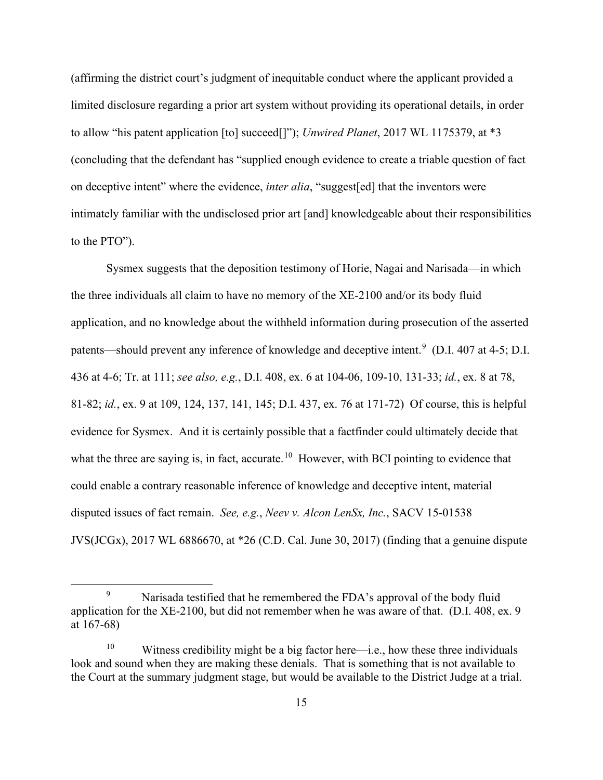(affirming the district court's judgment of inequitable conduct where the applicant provided a limited disclosure regarding a prior art system without providing its operational details, in order to allow "his patent application [to] succeed[]"); *Unwired Planet*, 2017 WL 1175379, at \*3 (concluding that the defendant has "supplied enough evidence to create a triable question of fact on deceptive intent" where the evidence, *inter alia*, "suggest[ed] that the inventors were intimately familiar with the undisclosed prior art [and] knowledgeable about their responsibilities to the PTO").

Sysmex suggests that the deposition testimony of Horie, Nagai and Narisada—in which the three individuals all claim to have no memory of the XE-2100 and/or its body fluid application, and no knowledge about the withheld information during prosecution of the asserted patents—should prevent any inference of knowledge and deceptive intent.<sup>9</sup> (D.I. 407 at 4-5; D.I. 436 at 4-6; Tr. at 111; *see also, e.g.*, D.I. 408, ex. 6 at 104-06, 109-10, 131-33; *id.*, ex. 8 at 78, 81-82; *id.*, ex. 9 at 109, 124, 137, 141, 145; D.I. 437, ex. 76 at 171-72) Of course, this is helpful evidence for Sysmex. And it is certainly possible that a factfinder could ultimately decide that what the three are saying is, in fact, accurate.<sup>10</sup> However, with BCI pointing to evidence that could enable a contrary reasonable inference of knowledge and deceptive intent, material disputed issues of fact remain. *See, e.g.*, *Neev v. Alcon LenSx, Inc.*, SACV 15-01538 JVS(JCGx), 2017 WL 6886670, at \*26 (C.D. Cal. June 30, 2017) (finding that a genuine dispute

<sup>&</sup>lt;sup>9</sup> Narisada testified that he remembered the FDA's approval of the body fluid application for the XE-2100, but did not remember when he was aware of that. (D.I. 408, ex. 9 at 167-68)

<sup>&</sup>lt;sup>10</sup> Witness credibility might be a big factor here—i.e., how these three individuals look and sound when they are making these denials. That is something that is not available to the Court at the summary judgment stage, but would be available to the District Judge at a trial.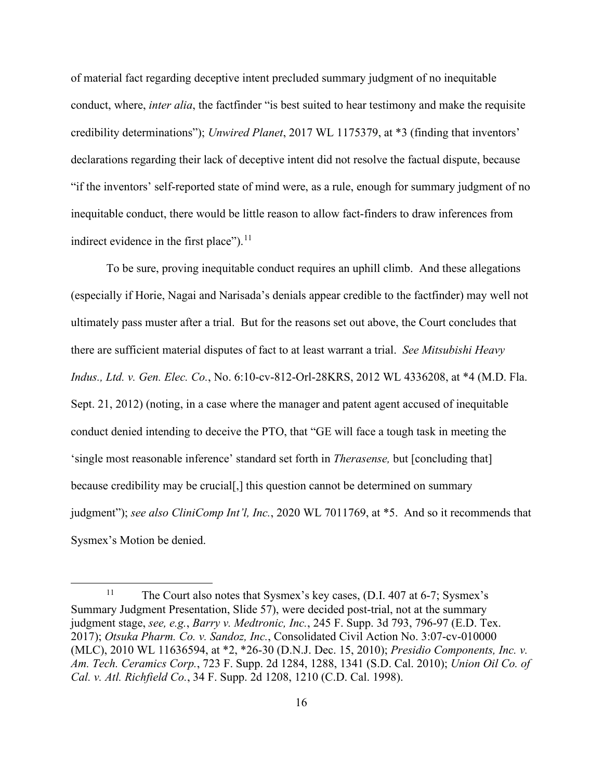of material fact regarding deceptive intent precluded summary judgment of no inequitable conduct, where, *inter alia*, the factfinder "is best suited to hear testimony and make the requisite credibility determinations"); *Unwired Planet*, 2017 WL 1175379, at \*3 (finding that inventors' declarations regarding their lack of deceptive intent did not resolve the factual dispute, because "if the inventors' self-reported state of mind were, as a rule, enough for summary judgment of no inequitable conduct, there would be little reason to allow fact-finders to draw inferences from indirect evidence in the first place").<sup>11</sup>

To be sure, proving inequitable conduct requires an uphill climb. And these allegations (especially if Horie, Nagai and Narisada's denials appear credible to the factfinder) may well not ultimately pass muster after a trial. But for the reasons set out above, the Court concludes that there are sufficient material disputes of fact to at least warrant a trial. *See Mitsubishi Heavy Indus., Ltd. v. Gen. Elec. Co.*, No. 6:10-cv-812-Orl-28KRS, 2012 WL 4336208, at \*4 (M.D. Fla. Sept. 21, 2012) (noting, in a case where the manager and patent agent accused of inequitable conduct denied intending to deceive the PTO, that "GE will face a tough task in meeting the 'single most reasonable inference' standard set forth in *Therasense,* but [concluding that] because credibility may be crucial[,] this question cannot be determined on summary judgment"); *see also CliniComp Int'l, Inc.*, 2020 WL 7011769, at \*5. And so it recommends that Sysmex's Motion be denied.

<sup>&</sup>lt;sup>11</sup> The Court also notes that Sysmex's key cases, (D.I. 407 at 6-7; Sysmex's Summary Judgment Presentation, Slide 57), were decided post-trial, not at the summary judgment stage, *see, e.g.*, *Barry v. Medtronic, Inc.*, 245 F. Supp. 3d 793, 796-97 (E.D. Tex. 2017); *Otsuka Pharm. Co. v. Sandoz, Inc.*, Consolidated Civil Action No. 3:07-cv-010000 (MLC), 2010 WL 11636594, at \*2, \*26-30 (D.N.J. Dec. 15, 2010); *Presidio Components, Inc. v. Am. Tech. Ceramics Corp.*, 723 F. Supp. 2d 1284, 1288, 1341 (S.D. Cal. 2010); *Union Oil Co. of Cal. v. Atl. Richfield Co.*, 34 F. Supp. 2d 1208, 1210 (C.D. Cal. 1998).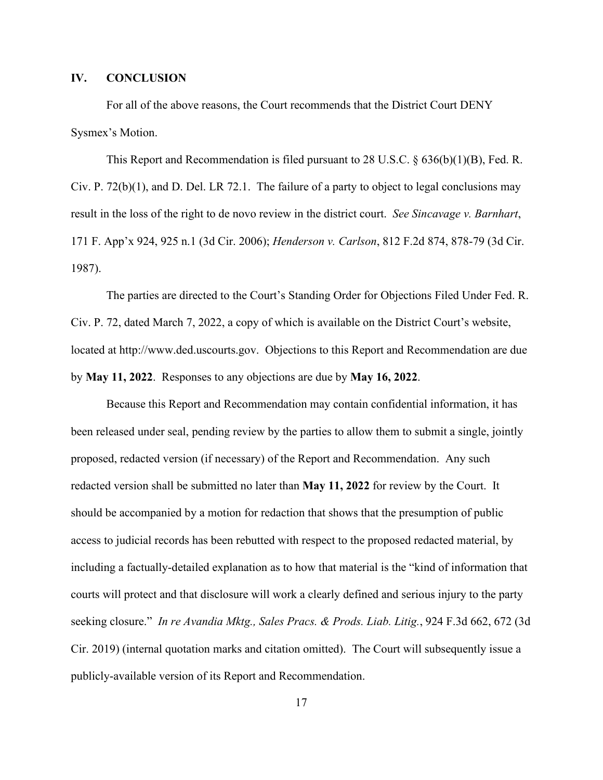#### **IV. CONCLUSION**

For all of the above reasons, the Court recommends that the District Court DENY Sysmex's Motion.

This Report and Recommendation is filed pursuant to 28 U.S.C. § 636(b)(1)(B), Fed. R. Civ. P. 72(b)(1), and D. Del. LR 72.1. The failure of a party to object to legal conclusions may result in the loss of the right to de novo review in the district court. *See Sincavage v. Barnhart*, 171 F. App'x 924, 925 n.1 (3d Cir. 2006); *Henderson v. Carlson*, 812 F.2d 874, 878-79 (3d Cir. 1987).

The parties are directed to the Court's Standing Order for Objections Filed Under Fed. R. Civ. P. 72, dated March 7, 2022, a copy of which is available on the District Court's website, located at http://www.ded.uscourts.gov. Objections to this Report and Recommendation are due by **May 11, 2022**. Responses to any objections are due by **May 16, 2022**.

Because this Report and Recommendation may contain confidential information, it has been released under seal, pending review by the parties to allow them to submit a single, jointly proposed, redacted version (if necessary) of the Report and Recommendation. Any such redacted version shall be submitted no later than **May 11, 2022** for review by the Court. It should be accompanied by a motion for redaction that shows that the presumption of public access to judicial records has been rebutted with respect to the proposed redacted material, by including a factually-detailed explanation as to how that material is the "kind of information that courts will protect and that disclosure will work a clearly defined and serious injury to the party seeking closure." *In re Avandia Mktg., Sales Pracs. & Prods. Liab. Litig.*, 924 F.3d 662, 672 (3d Cir. 2019) (internal quotation marks and citation omitted). The Court will subsequently issue a publicly-available version of its Report and Recommendation.